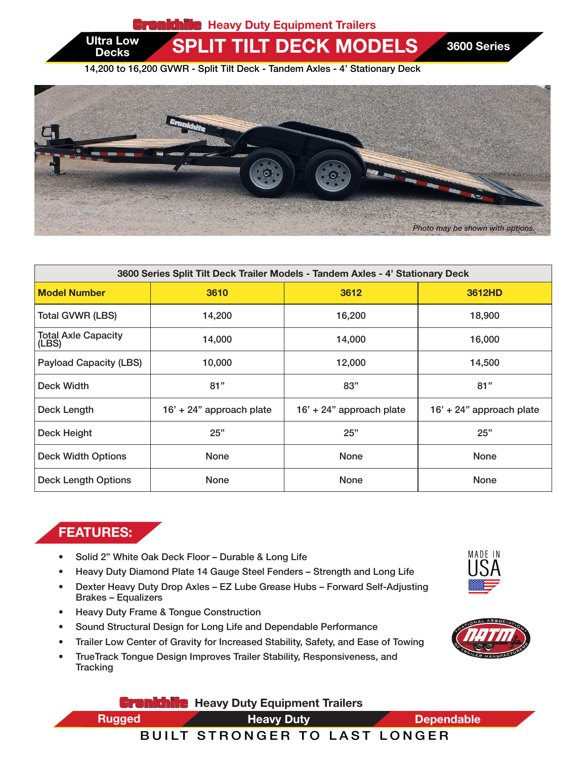**Gronkhite** Heavy Duty Equipment Trailers

Ultra Low SPLIT TILT DECK MODELS 3600 Series

14,200 to 16,200 GVWR - Split Tilt Deck - Tandem Axles - 4' Stationary Deck



| 3600 Series Split Tilt Deck Trailer Models - Tandem Axles - 4' Stationary Deck |                            |                            |                          |  |  |
|--------------------------------------------------------------------------------|----------------------------|----------------------------|--------------------------|--|--|
| <b>Model Number</b>                                                            | 3610                       | 3612                       | 3612HD                   |  |  |
| <b>Total GVWR (LBS)</b>                                                        | 14,200                     | 16,200                     | 18,900                   |  |  |
| <b>Total Axle Capacity</b><br>(LBS)                                            | 14,000                     | 14,000                     | 16,000                   |  |  |
| <b>Payload Capacity (LBS)</b>                                                  | 10,000                     | 12,000                     | 14,500                   |  |  |
| Deck Width                                                                     | 81"                        | 83"                        | 81"                      |  |  |
| Deck Length                                                                    | $16' + 24"$ approach plate | $16' + 24"$ approach plate | 16' + 24" approach plate |  |  |
| Deck Height                                                                    | 25"                        | 25"                        | 25"                      |  |  |
| <b>Deck Width Options</b>                                                      | <b>None</b>                | <b>None</b>                | <b>None</b>              |  |  |
| <b>Deck Length Options</b>                                                     | <b>None</b>                | <b>None</b>                | <b>None</b>              |  |  |

## FEATURES:

**Decks** 

HEAVY DUTY EXPERIMENT TRAILERS IN A 1990 FOR THE RESIDENCE

- Solid 2" White Oak Deck Floor Durable & Long Life
- Heavy Duty Diamond Plate 14 Gauge Steel Fenders Strength and Long Life
- Dexter Heavy Duty Drop Axles EZ Lube Grease Hubs Forward Self-Adjusting Brakes – Equalizers
- Heavy Duty Frame & Tongue Construction
- Sound Structural Design for Long Life and Dependable Performance
- Trailer Low Center of Gravity for Increased Stability, Safety, and Ease of Towing

**Gronkhile** Heavy Duty Equipment Trailers

• TrueTrack Tongue Design Improves Trailer Stability, Responsiveness, and **Tracking** 



MADE IN





Heavy Duty

Rugged **Dependable** Heavy Duty **Dependable**